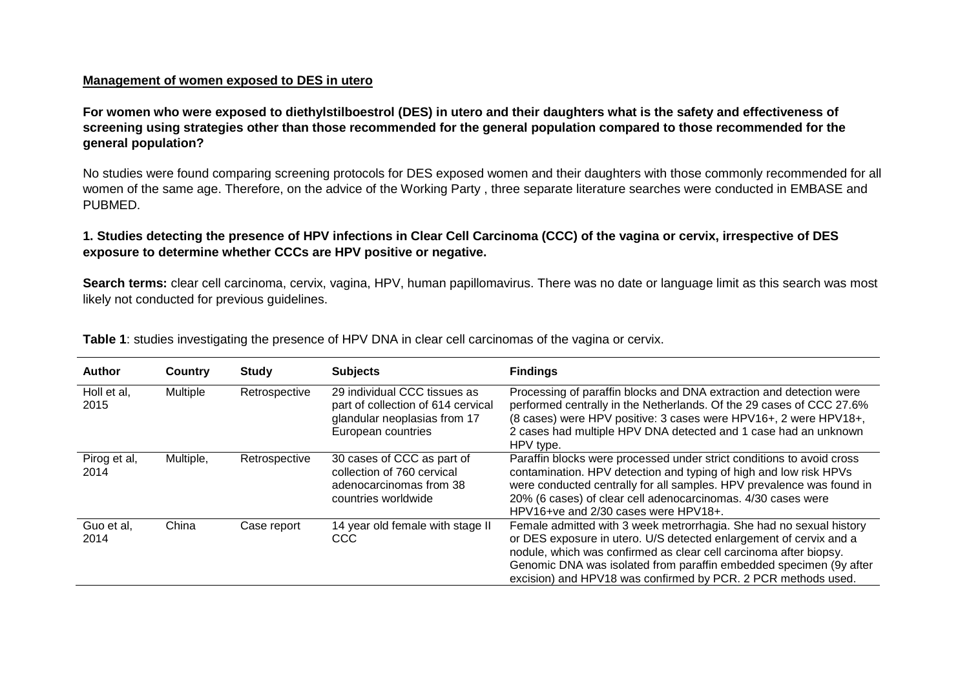### **Management of women exposed to DES in utero**

**For women who were exposed to diethylstilboestrol (DES) in utero and their daughters what is the safety and effectiveness of screening using strategies other than those recommended for the general population compared to those recommended for the general population?** 

No studies were found comparing screening protocols for DES exposed women and their daughters with those commonly recommended for all women of the same age. Therefore, on the advice of the Working Party , three separate literature searches were conducted in EMBASE and PUBMED.

### **1. Studies detecting the presence of HPV infections in Clear Cell Carcinoma (CCC) of the vagina or cervix, irrespective of DES exposure to determine whether CCCs are HPV positive or negative.**

**Search terms:** clear cell carcinoma, cervix, vagina, HPV, human papillomavirus. There was no date or language limit as this search was most likely not conducted for previous guidelines.

| <b>Author</b>        | Country   | <b>Study</b>  | <b>Subjects</b>                                                                                                          | <b>Findings</b>                                                                                                                                                                                                                                                                                                                                       |
|----------------------|-----------|---------------|--------------------------------------------------------------------------------------------------------------------------|-------------------------------------------------------------------------------------------------------------------------------------------------------------------------------------------------------------------------------------------------------------------------------------------------------------------------------------------------------|
| Holl et al,<br>2015  | Multiple  | Retrospective | 29 individual CCC tissues as<br>part of collection of 614 cervical<br>glandular neoplasias from 17<br>European countries | Processing of paraffin blocks and DNA extraction and detection were<br>performed centrally in the Netherlands. Of the 29 cases of CCC 27.6%<br>(8 cases) were HPV positive: 3 cases were HPV16+, 2 were HPV18+,<br>2 cases had multiple HPV DNA detected and 1 case had an unknown<br>HPV type.                                                       |
| Pirog et al,<br>2014 | Multiple, | Retrospective | 30 cases of CCC as part of<br>collection of 760 cervical<br>adenocarcinomas from 38<br>countries worldwide               | Paraffin blocks were processed under strict conditions to avoid cross<br>contamination. HPV detection and typing of high and low risk HPVs<br>were conducted centrally for all samples. HPV prevalence was found in<br>20% (6 cases) of clear cell adenocarcinomas. 4/30 cases were<br>HPV16+ve and 2/30 cases were HPV18+.                           |
| Guo et al.<br>2014   | China     | Case report   | 14 year old female with stage II<br><b>CCC</b>                                                                           | Female admitted with 3 week metrorrhagia. She had no sexual history<br>or DES exposure in utero. U/S detected enlargement of cervix and a<br>nodule, which was confirmed as clear cell carcinoma after biopsy.<br>Genomic DNA was isolated from paraffin embedded specimen (9y after<br>excision) and HPV18 was confirmed by PCR. 2 PCR methods used. |

**Table 1**: studies investigating the presence of HPV DNA in clear cell carcinomas of the vagina or cervix.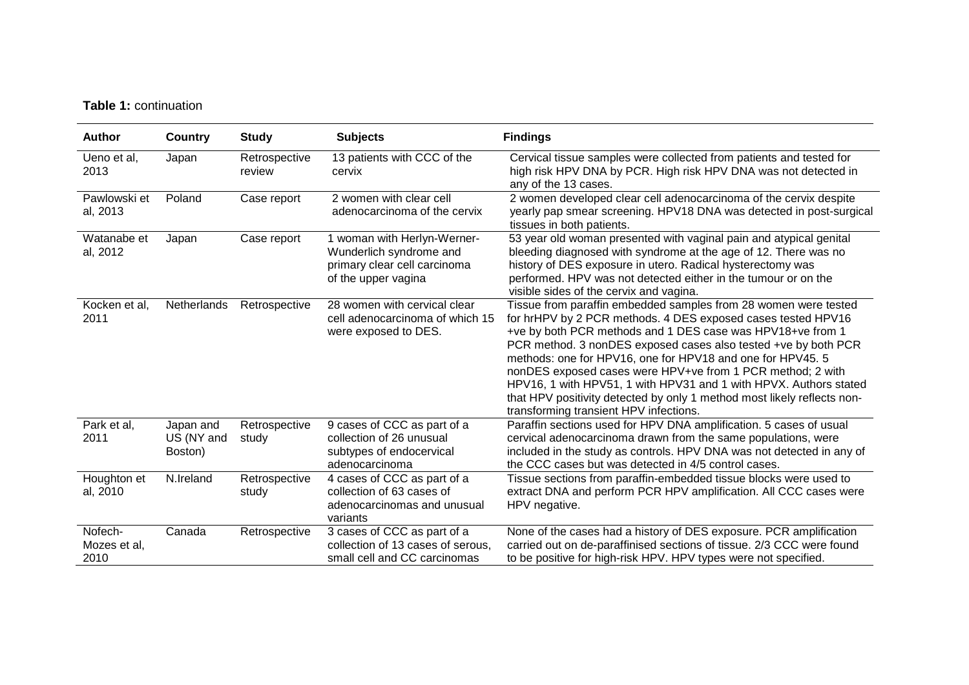# **Table 1:** continuation

| Author                          | Country                            | <b>Study</b>            | <b>Subjects</b>                                                                                               | <b>Findings</b>                                                                                                                                                                                                                                                                                                                                                                                                                                                                                                                                                                       |
|---------------------------------|------------------------------------|-------------------------|---------------------------------------------------------------------------------------------------------------|---------------------------------------------------------------------------------------------------------------------------------------------------------------------------------------------------------------------------------------------------------------------------------------------------------------------------------------------------------------------------------------------------------------------------------------------------------------------------------------------------------------------------------------------------------------------------------------|
| Ueno et al,<br>2013             | Japan                              | Retrospective<br>review | 13 patients with CCC of the<br>cervix                                                                         | Cervical tissue samples were collected from patients and tested for<br>high risk HPV DNA by PCR. High risk HPV DNA was not detected in<br>any of the 13 cases.                                                                                                                                                                                                                                                                                                                                                                                                                        |
| Pawlowski et<br>al, 2013        | Poland                             | Case report             | 2 women with clear cell<br>adenocarcinoma of the cervix                                                       | 2 women developed clear cell adenocarcinoma of the cervix despite<br>yearly pap smear screening. HPV18 DNA was detected in post-surgical<br>tissues in both patients.                                                                                                                                                                                                                                                                                                                                                                                                                 |
| Watanabe et<br>al, 2012         | Japan                              | Case report             | 1 woman with Herlyn-Werner-<br>Wunderlich syndrome and<br>primary clear cell carcinoma<br>of the upper vagina | 53 year old woman presented with vaginal pain and atypical genital<br>bleeding diagnosed with syndrome at the age of 12. There was no<br>history of DES exposure in utero. Radical hysterectomy was<br>performed. HPV was not detected either in the tumour or on the<br>visible sides of the cervix and vagina.                                                                                                                                                                                                                                                                      |
| Kocken et al,<br>2011           | Netherlands                        | Retrospective           | 28 women with cervical clear<br>cell adenocarcinoma of which 15<br>were exposed to DES.                       | Tissue from paraffin embedded samples from 28 women were tested<br>for hrHPV by 2 PCR methods. 4 DES exposed cases tested HPV16<br>+ve by both PCR methods and 1 DES case was HPV18+ve from 1<br>PCR method. 3 nonDES exposed cases also tested +ve by both PCR<br>methods: one for HPV16, one for HPV18 and one for HPV45. 5<br>nonDES exposed cases were HPV+ve from 1 PCR method; 2 with<br>HPV16, 1 with HPV51, 1 with HPV31 and 1 with HPVX. Authors stated<br>that HPV positivity detected by only 1 method most likely reflects non-<br>transforming transient HPV infections. |
| Park et al,<br>2011             | Japan and<br>US (NY and<br>Boston) | Retrospective<br>study  | 9 cases of CCC as part of a<br>collection of 26 unusual<br>subtypes of endocervical<br>adenocarcinoma         | Paraffin sections used for HPV DNA amplification. 5 cases of usual<br>cervical adenocarcinoma drawn from the same populations, were<br>included in the study as controls. HPV DNA was not detected in any of<br>the CCC cases but was detected in 4/5 control cases.                                                                                                                                                                                                                                                                                                                  |
| Houghton et<br>al, 2010         | N.Ireland                          | Retrospective<br>study  | 4 cases of CCC as part of a<br>collection of 63 cases of<br>adenocarcinomas and unusual<br>variants           | Tissue sections from paraffin-embedded tissue blocks were used to<br>extract DNA and perform PCR HPV amplification. All CCC cases were<br>HPV negative.                                                                                                                                                                                                                                                                                                                                                                                                                               |
| Nofech-<br>Mozes et al,<br>2010 | Canada                             | Retrospective           | 3 cases of CCC as part of a<br>collection of 13 cases of serous.<br>small cell and CC carcinomas              | None of the cases had a history of DES exposure. PCR amplification<br>carried out on de-paraffinised sections of tissue. 2/3 CCC were found<br>to be positive for high-risk HPV. HPV types were not specified.                                                                                                                                                                                                                                                                                                                                                                        |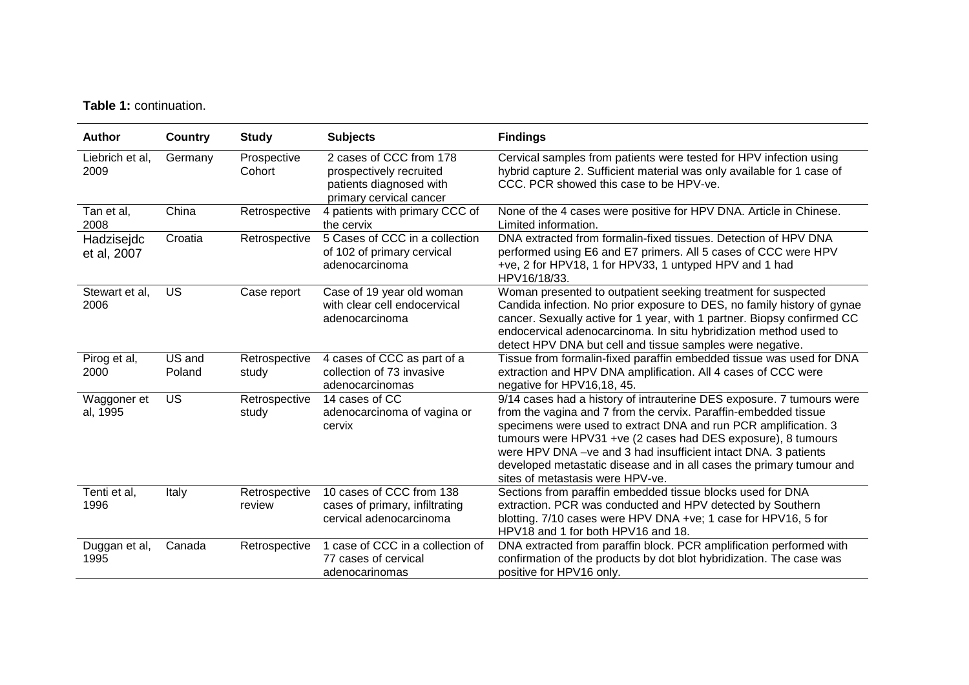# **Table 1:** continuation.

| <b>Author</b>             | <b>Country</b>   | <b>Study</b>            | <b>Subjects</b>                                                                                          | <b>Findings</b>                                                                                                                                                                                                                                                                                                                                                                                                                                            |
|---------------------------|------------------|-------------------------|----------------------------------------------------------------------------------------------------------|------------------------------------------------------------------------------------------------------------------------------------------------------------------------------------------------------------------------------------------------------------------------------------------------------------------------------------------------------------------------------------------------------------------------------------------------------------|
| Liebrich et al,<br>2009   | Germany          | Prospective<br>Cohort   | 2 cases of CCC from 178<br>prospectively recruited<br>patients diagnosed with<br>primary cervical cancer | Cervical samples from patients were tested for HPV infection using<br>hybrid capture 2. Sufficient material was only available for 1 case of<br>CCC. PCR showed this case to be HPV-ve.                                                                                                                                                                                                                                                                    |
| Tan et al,<br>2008        | China            | Retrospective           | 4 patients with primary CCC of<br>the cervix                                                             | None of the 4 cases were positive for HPV DNA. Article in Chinese.<br>Limited information.                                                                                                                                                                                                                                                                                                                                                                 |
| Hadzisejdc<br>et al, 2007 | Croatia          | Retrospective           | 5 Cases of CCC in a collection<br>of 102 of primary cervical<br>adenocarcinoma                           | DNA extracted from formalin-fixed tissues. Detection of HPV DNA<br>performed using E6 and E7 primers. All 5 cases of CCC were HPV<br>+ve, 2 for HPV18, 1 for HPV33, 1 untyped HPV and 1 had<br>HPV16/18/33.                                                                                                                                                                                                                                                |
| Stewart et al,<br>2006    | US               | Case report             | Case of 19 year old woman<br>with clear cell endocervical<br>adenocarcinoma                              | Woman presented to outpatient seeking treatment for suspected<br>Candida infection. No prior exposure to DES, no family history of gynae<br>cancer. Sexually active for 1 year, with 1 partner. Biopsy confirmed CC<br>endocervical adenocarcinoma. In situ hybridization method used to<br>detect HPV DNA but cell and tissue samples were negative.                                                                                                      |
| Pirog et al,<br>2000      | US and<br>Poland | Retrospective<br>study  | 4 cases of CCC as part of a<br>collection of 73 invasive<br>adenocarcinomas                              | Tissue from formalin-fixed paraffin embedded tissue was used for DNA<br>extraction and HPV DNA amplification. All 4 cases of CCC were<br>negative for HPV16,18, 45.                                                                                                                                                                                                                                                                                        |
| Waggoner et<br>al, 1995   | US               | Retrospective<br>study  | 14 cases of CC<br>adenocarcinoma of vagina or<br>cervix                                                  | 9/14 cases had a history of intrauterine DES exposure. 7 tumours were<br>from the vagina and 7 from the cervix. Paraffin-embedded tissue<br>specimens were used to extract DNA and run PCR amplification. 3<br>tumours were HPV31 +ve (2 cases had DES exposure), 8 tumours<br>were HPV DNA - ve and 3 had insufficient intact DNA. 3 patients<br>developed metastatic disease and in all cases the primary tumour and<br>sites of metastasis were HPV-ve. |
| Tenti et al,<br>1996      | Italy            | Retrospective<br>review | 10 cases of CCC from 138<br>cases of primary, infiltrating<br>cervical adenocarcinoma                    | Sections from paraffin embedded tissue blocks used for DNA<br>extraction. PCR was conducted and HPV detected by Southern<br>blotting. 7/10 cases were HPV DNA +ve; 1 case for HPV16, 5 for<br>HPV18 and 1 for both HPV16 and 18.                                                                                                                                                                                                                           |
| Duggan et al,<br>1995     | Canada           | Retrospective           | 1 case of CCC in a collection of<br>77 cases of cervical<br>adenocarinomas                               | DNA extracted from paraffin block. PCR amplification performed with<br>confirmation of the products by dot blot hybridization. The case was<br>positive for HPV16 only.                                                                                                                                                                                                                                                                                    |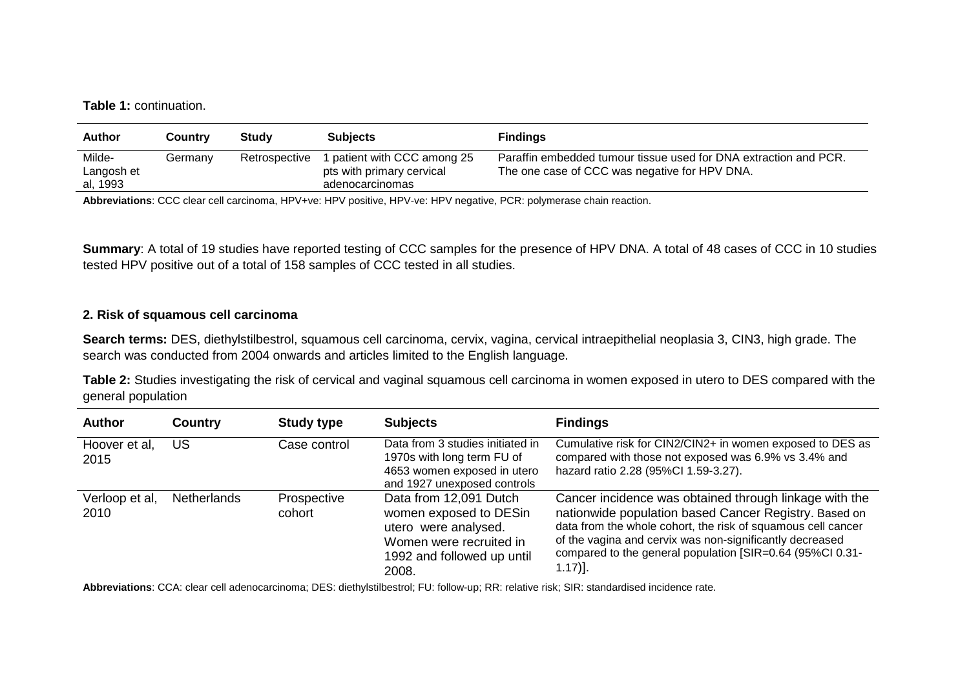**Table 1:** continuation.

| <b>Author</b>                    | <b>Country</b> | Study         | <b>Subjects</b>                                                             | <b>Findings</b>                                                                                                   |
|----------------------------------|----------------|---------------|-----------------------------------------------------------------------------|-------------------------------------------------------------------------------------------------------------------|
| Milde-<br>Langosh et<br>al, 1993 | Germanv        | Retrospective | I patient with CCC among 25<br>pts with primary cervical<br>adenocarcinomas | Paraffin embedded tumour tissue used for DNA extraction and PCR.<br>The one case of CCC was negative for HPV DNA. |

**Abbreviations**: CCC clear cell carcinoma, HPV+ve: HPV positive, HPV-ve: HPV negative, PCR: polymerase chain reaction.

**Summary**: A total of 19 studies have reported testing of CCC samples for the presence of HPV DNA. A total of 48 cases of CCC in 10 studies tested HPV positive out of a total of 158 samples of CCC tested in all studies.

#### **2. Risk of squamous cell carcinoma**

**Search terms:** DES, diethylstilbestrol, squamous cell carcinoma, cervix, vagina, cervical intraepithelial neoplasia 3, CIN3, high grade. The search was conducted from 2004 onwards and articles limited to the English language.

**Table 2:** Studies investigating the risk of cervical and vaginal squamous cell carcinoma in women exposed in utero to DES compared with the general population

| <b>Author</b>          | <b>Country</b> | <b>Study type</b>     | <b>Subjects</b>                                                                                                                            | <b>Findings</b>                                                                                                                                                                                                                                                                                                     |
|------------------------|----------------|-----------------------|--------------------------------------------------------------------------------------------------------------------------------------------|---------------------------------------------------------------------------------------------------------------------------------------------------------------------------------------------------------------------------------------------------------------------------------------------------------------------|
| Hoover et al,<br>2015  | US             | Case control          | Data from 3 studies initiated in<br>1970s with long term FU of<br>4653 women exposed in utero<br>and 1927 unexposed controls               | Cumulative risk for CIN2/CIN2+ in women exposed to DES as<br>compared with those not exposed was 6.9% vs 3.4% and<br>hazard ratio 2.28 (95%Cl 1.59-3.27).                                                                                                                                                           |
| Verloop et al,<br>2010 | Netherlands    | Prospective<br>cohort | Data from 12,091 Dutch<br>women exposed to DESin<br>utero were analysed.<br>Women were recruited in<br>1992 and followed up until<br>2008. | Cancer incidence was obtained through linkage with the<br>nationwide population based Cancer Registry. Based on<br>data from the whole cohort, the risk of squamous cell cancer<br>of the vagina and cervix was non-significantly decreased<br>compared to the general population [SIR=0.64 (95%CI 0.31-<br>1.17)]. |

**Abbreviations**: CCA: clear cell adenocarcinoma; DES: diethylstilbestrol; FU: follow-up; RR: relative risk; SIR: standardised incidence rate.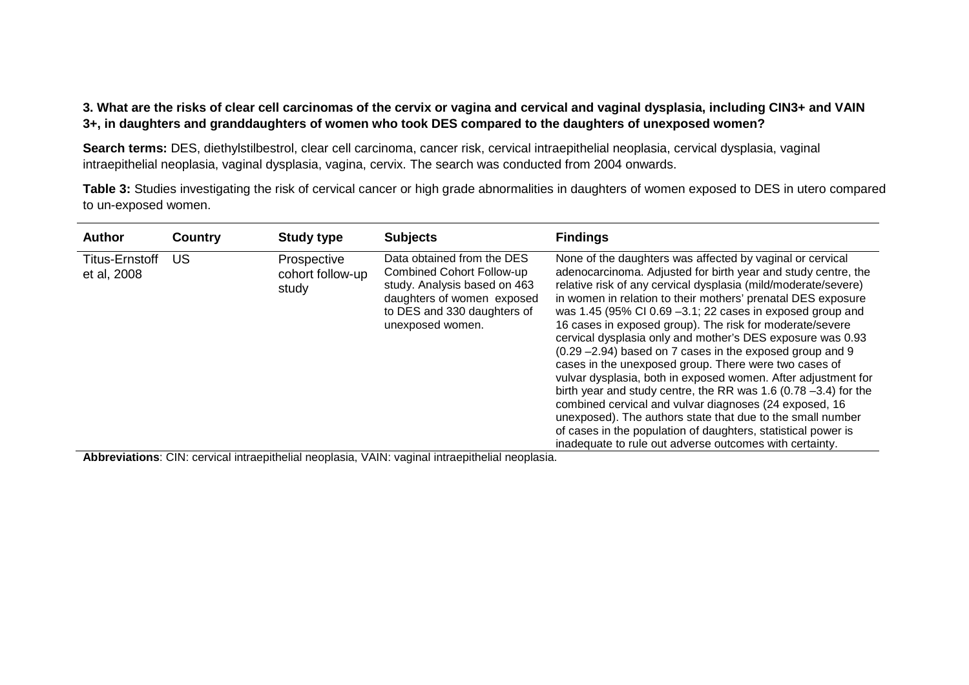### **3. What are the risks of clear cell carcinomas of the cervix or vagina and cervical and vaginal dysplasia, including CIN3+ and VAIN 3+, in daughters and granddaughters of women who took DES compared to the daughters of unexposed women?**

Search terms: DES, diethylstilbestrol, clear cell carcinoma, cancer risk, cervical intraepithelial neoplasia, cervical dysplasia, vaginal intraepithelial neoplasia, vaginal dysplasia, vagina, cervix. The search was conducted from 2004 onwards.

**Table 3:** Studies investigating the risk of cervical cancer or high grade abnormalities in daughters of women exposed to DES in utero compared to un-exposed women.

| <b>Author</b>                        | <b>Country</b> | <b>Study type</b>                        | <b>Subjects</b>                                                                                                                                                          | <b>Findings</b>                                                                                                                                                                                                                                                                                                                                                                                                                                                                                                                                                                                                                                                                                                                                                                                                                                                                                                                                                           |
|--------------------------------------|----------------|------------------------------------------|--------------------------------------------------------------------------------------------------------------------------------------------------------------------------|---------------------------------------------------------------------------------------------------------------------------------------------------------------------------------------------------------------------------------------------------------------------------------------------------------------------------------------------------------------------------------------------------------------------------------------------------------------------------------------------------------------------------------------------------------------------------------------------------------------------------------------------------------------------------------------------------------------------------------------------------------------------------------------------------------------------------------------------------------------------------------------------------------------------------------------------------------------------------|
| <b>Titus-Ernstoff</b><br>et al, 2008 | US             | Prospective<br>cohort follow-up<br>study | Data obtained from the DES<br>Combined Cohort Follow-up<br>study. Analysis based on 463<br>daughters of women exposed<br>to DES and 330 daughters of<br>unexposed women. | None of the daughters was affected by vaginal or cervical<br>adenocarcinoma. Adjusted for birth year and study centre, the<br>relative risk of any cervical dysplasia (mild/moderate/severe)<br>in women in relation to their mothers' prenatal DES exposure<br>was 1.45 (95% CI 0.69 $-3.1$ ; 22 cases in exposed group and<br>16 cases in exposed group). The risk for moderate/severe<br>cervical dysplasia only and mother's DES exposure was 0.93<br>$(0.29 - 2.94)$ based on 7 cases in the exposed group and 9<br>cases in the unexposed group. There were two cases of<br>vulvar dysplasia, both in exposed women. After adjustment for<br>birth year and study centre, the RR was 1.6 (0.78 $-3.4$ ) for the<br>combined cervical and vulvar diagnoses (24 exposed, 16<br>unexposed). The authors state that due to the small number<br>of cases in the population of daughters, statistical power is<br>inadequate to rule out adverse outcomes with certainty. |

**Abbreviations**: CIN: cervical intraepithelial neoplasia, VAIN: vaginal intraepithelial neoplasia.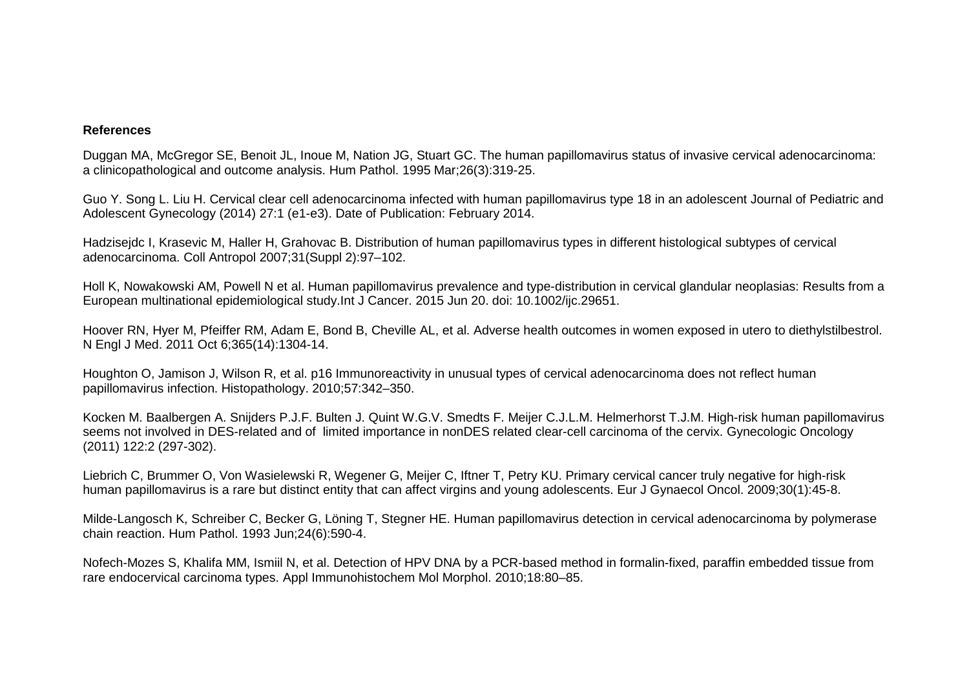#### **References**

Duggan MA, McGregor SE, Benoit JL, Inoue M, Nation JG, Stuart GC. The human papillomavirus status of invasive cervical adenocarcinoma: a clinicopathological and outcome analysis. Hum Pathol. 1995 Mar;26(3):319-25.

Guo Y. Song L. Liu H. Cervical clear cell adenocarcinoma infected with human papillomavirus type 18 in an adolescent Journal of Pediatric and Adolescent Gynecology (2014) 27:1 (e1-e3). Date of Publication: February 2014.

Hadzisejdc I, Krasevic M, Haller H, Grahovac B. Distribution of human papillomavirus types in different histological subtypes of cervical adenocarcinoma. Coll Antropol 2007;31(Suppl 2):97–102.

Holl K, Nowakowski AM, Powell N et al. Human papillomavirus prevalence and type-distribution in cervical glandular neoplasias: Results from a European multinational epidemiological study.Int J Cancer. 2015 Jun 20. doi: 10.1002/ijc.29651.

Hoover RN, Hyer M, Pfeiffer RM, Adam E, Bond B, Cheville AL, et al. Adverse health outcomes in women exposed in utero to diethylstilbestrol. N Engl J Med. 2011 Oct 6;365(14):1304-14.

Houghton O, Jamison J, Wilson R, et al. p16 Immunoreactivity in unusual types of cervical adenocarcinoma does not reflect human papillomavirus infection. Histopathology. 2010;57:342–350.

Kocken M. Baalbergen A. Snijders P.J.F. Bulten J. Quint W.G.V. Smedts F. Meijer C.J.L.M. Helmerhorst T.J.M. High-risk human papillomavirus seems not involved in DES-related and of limited importance in nonDES related clear-cell carcinoma of the cervix. Gynecologic Oncology (2011) 122:2 (297-302).

Liebrich C, Brummer O, Von Wasielewski R, Wegener G, Meijer C, Iftner T, Petry KU. Primary cervical cancer truly negative for high-risk human papillomavirus is a rare but distinct entity that can affect virgins and young adolescents. Eur J Gynaecol Oncol. 2009;30(1):45-8.

Milde-Langosch K, Schreiber C, Becker G, Löning T, Stegner HE. Human papillomavirus detection in cervical adenocarcinoma by polymerase chain reaction. Hum Pathol. 1993 Jun;24(6):590-4.

Nofech-Mozes S, Khalifa MM, Ismiil N, et al. Detection of HPV DNA by a PCR-based method in formalin-fixed, paraffin embedded tissue from rare endocervical carcinoma types. Appl Immunohistochem Mol Morphol. 2010;18:80–85.